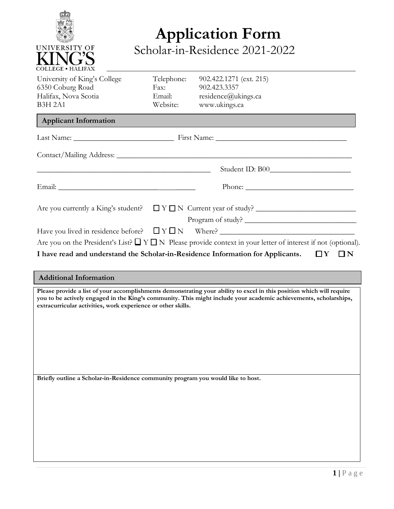

## **Application Form** Scholar-in-Residence 2021-2022

| University of King's College | Telephone: | 902.422.1271 (ext. 215)                                                                                               |
|------------------------------|------------|-----------------------------------------------------------------------------------------------------------------------|
| 6350 Coburg Road             | Fax:       | 902.423.3357                                                                                                          |
| Halifax, Nova Scotia         | Email:     | residence@ukings.ca                                                                                                   |
| <b>B3H 2A1</b>               | Website:   | www.ukings.ca                                                                                                         |
| <b>Applicant Information</b> |            |                                                                                                                       |
|                              |            |                                                                                                                       |
|                              |            |                                                                                                                       |
|                              |            |                                                                                                                       |
|                              |            | Phone:                                                                                                                |
|                              |            |                                                                                                                       |
|                              |            | Program of study?                                                                                                     |
|                              |            |                                                                                                                       |
|                              |            | Are you on the President's List? $\Box Y \Box N$ Please provide context in your letter of interest if not (optional). |
|                              |            | I have read and understand the Scholar-in-Residence Information for Applicants. $\square Y$<br>$\sqcup N$             |

| <b>Additional Information</b>                                                                                                                                                                                                                                                                             |
|-----------------------------------------------------------------------------------------------------------------------------------------------------------------------------------------------------------------------------------------------------------------------------------------------------------|
| Please provide a list of your accomplishments demonstrating your ability to excel in this position which will require<br>you to be actively engaged in the King's community. This might include your academic achievements, scholarships,<br>extracurricular activities, work experience or other skills. |
|                                                                                                                                                                                                                                                                                                           |
|                                                                                                                                                                                                                                                                                                           |
| Briefly outline a Scholar-in-Residence community program you would like to host.                                                                                                                                                                                                                          |
|                                                                                                                                                                                                                                                                                                           |
|                                                                                                                                                                                                                                                                                                           |